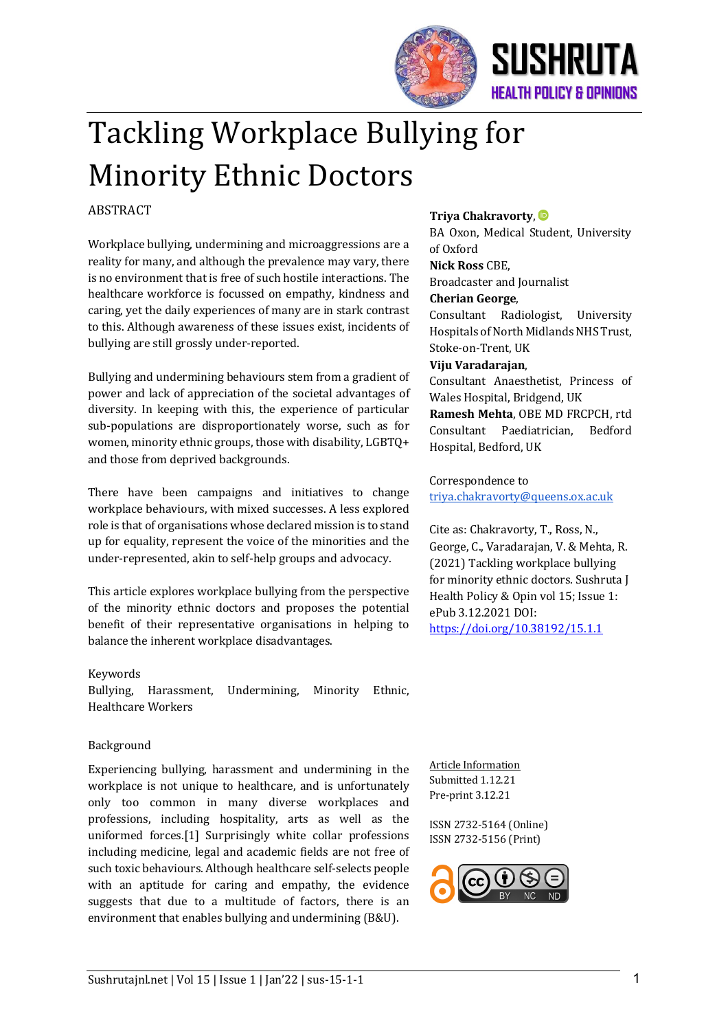

# Tackling Workplace Bullying for **Minority Ethnic Doctors**

# **ABSTRACT**

Workplace bullying, undermining and microaggressions are a reality for many, and although the prevalence may vary, there is no environment that is free of such hostile interactions. The healthcare workforce is focussed on empathy, kindness and caring, yet the daily experiences of many are in stark contrast to this. Although awareness of these issues exist, incidents of bullying are still grossly under-reported.

Bullying and undermining behaviours stem from a gradient of power and lack of appreciation of the societal advantages of diversity. In keeping with this, the experience of particular sub-populations are disproportionately worse, such as for women, minority ethnic groups, those with disability, LGBTQ+ and those from deprived backgrounds.

There have been campaigns and initiatives to change workplace behaviours, with mixed successes. A less explored role is that of organisations whose declared mission is to stand up for equality, represent the voice of the minorities and the under-represented, akin to self-help groups and advocacy.

This article explores workplace bullying from the perspective of the minority ethnic doctors and proposes the potential benefit of their representative organisations in helping to balance the inherent workplace disadvantages.

#### Keywords

Bullying, Harassment, Undermining, Minority Ethnic, Healthcare Workers 

#### Background

Experiencing bullying, harassment and undermining in the workplace is not unique to healthcare, and is unfortunately only too common in many diverse workplaces and professions, including hospitality, arts as well as the uniformed forces.[1] Surprisingly white collar professions including medicine, legal and academic fields are not free of such toxic behaviours. Although healthcare self-selects people with an aptitude for caring and empathy, the evidence suggests that due to a multitude of factors, there is an environment that enables bullying and undermining (B&U).

#### **Triya Chakravorty**, **D**

BA Oxon, Medical Student, University of Oxford **Nick Ross** CBE, **Broadcaster and Journalist Cherian George**, 

Consultant Radiologist, University Hospitals of North Midlands NHS Trust, Stoke-on-Trent, UK

#### **Viju Varadarajan**,

Consultant Anaesthetist, Princess of Wales Hospital, Bridgend, UK **Ramesh Mehta, OBE MD FRCPCH, rtd** Consultant Paediatrician, Bedford Hospital, Bedford, UK

Correspondence to triya.chakravorty@queens.ox.ac.uk

Cite as: Chakravorty, T., Ross, N., George, C., Varadarajan, V. & Mehta, R. (2021) Tackling workplace bullying for minority ethnic doctors. Sushruta J Health Policy & Opin vol 15; Issue 1: ePub 3.12.2021 DOI: https://doi.org/10.38192/15.1.1

Article Information Submitted 1.12.21 Pre-print 3.12.21

ISSN 2732-5164 (Online) ISSN 2732-5156 (Print)

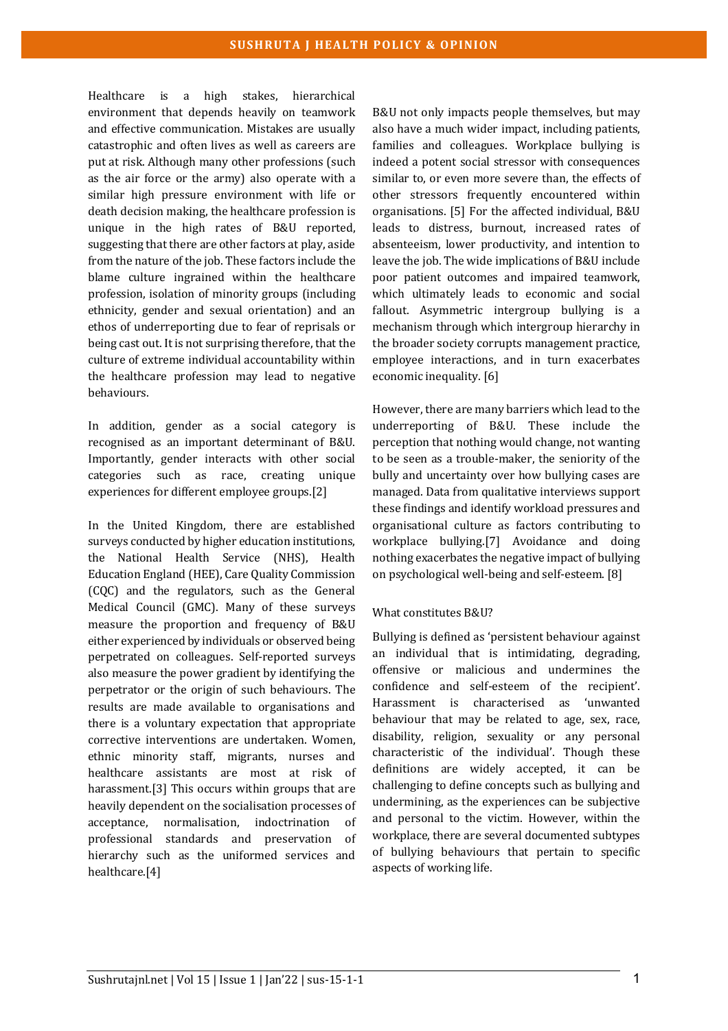Healthcare is a high stakes, hierarchical environment that depends heavily on teamwork and effective communication. Mistakes are usually catastrophic and often lives as well as careers are put at risk. Although many other professions (such as the air force or the army) also operate with a similar high pressure environment with life or death decision making, the healthcare profession is unique in the high rates of B&U reported, suggesting that there are other factors at play, aside from the nature of the job. These factors include the blame culture ingrained within the healthcare profession, isolation of minority groups (including ethnicity, gender and sexual orientation) and an ethos of underreporting due to fear of reprisals or being cast out. It is not surprising therefore, that the culture of extreme individual accountability within the healthcare profession may lead to negative behaviours.

In addition, gender as a social category is recognised as an important determinant of B&U. Importantly, gender interacts with other social categories such as race, creating unique experiences for different employee groups.[2]

In the United Kingdom, there are established surveys conducted by higher education institutions, the National Health Service (NHS), Health Education England (HEE), Care Quality Commission (CQC) and the regulators, such as the General Medical Council (GMC). Many of these surveys measure the proportion and frequency of B&U either experienced by individuals or observed being perpetrated on colleagues. Self-reported surveys also measure the power gradient by identifying the perpetrator or the origin of such behaviours. The results are made available to organisations and there is a voluntary expectation that appropriate corrective interventions are undertaken. Women, ethnic minority staff, migrants, nurses and healthcare assistants are most at risk of harassment.[3] This occurs within groups that are heavily dependent on the socialisation processes of acceptance, normalisation, indoctrination of professional standards and preservation of hierarchy such as the uniformed services and healthcare.[4]

B&U not only impacts people themselves, but may also have a much wider impact, including patients, families and colleagues. Workplace bullying is indeed a potent social stressor with consequences similar to, or even more severe than, the effects of other stressors frequently encountered within organisations. [5] For the affected individual, B&U leads to distress, burnout, increased rates of absenteeism, lower productivity, and intention to leave the job. The wide implications of B&U include poor patient outcomes and impaired teamwork, which ultimately leads to economic and social fallout. Asymmetric intergroup bullying is a mechanism through which intergroup hierarchy in the broader society corrupts management practice, employee interactions, and in turn exacerbates economic inequality. [6]

However, there are many barriers which lead to the underreporting of B&U. These include the perception that nothing would change, not wanting to be seen as a trouble-maker, the seniority of the bully and uncertainty over how bullying cases are managed. Data from qualitative interviews support these findings and identify workload pressures and organisational culture as factors contributing to workplace bullying.[7] Avoidance and doing nothing exacerbates the negative impact of bullying on psychological well-being and self-esteem. [8]

## What constitutes B&U?

Bullying is defined as 'persistent behaviour against an individual that is intimidating, degrading, offensive or malicious and undermines the confidence and self-esteem of the recipient'. Harassment is characterised as 'unwanted behaviour that may be related to age, sex, race, disability, religion, sexuality or any personal characteristic of the individual'. Though these definitions are widely accepted, it can be challenging to define concepts such as bullying and undermining, as the experiences can be subjective and personal to the victim. However, within the workplace, there are several documented subtypes of bullying behaviours that pertain to specific aspects of working life.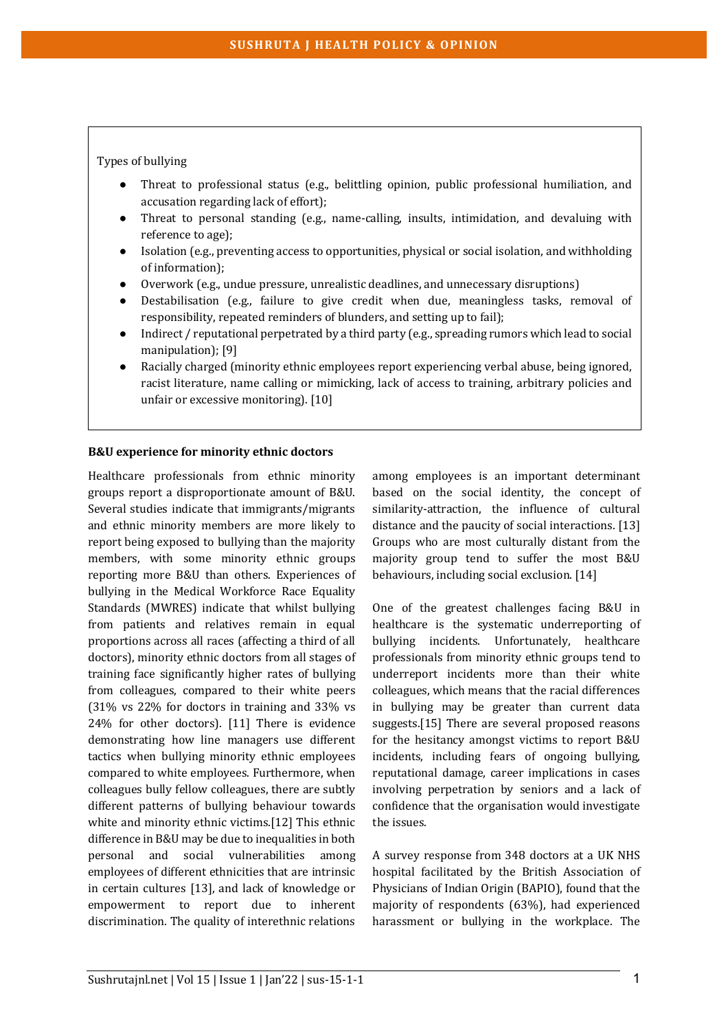## Types of bullying

- Threat to professional status (e.g., belittling opinion, public professional humiliation, and accusation regarding lack of effort);
- Threat to personal standing (e.g., name-calling, insults, intimidation, and devaluing with reference to age);
- Isolation (e.g., preventing access to opportunities, physical or social isolation, and withholding of information);
- Overwork (e.g., undue pressure, unrealistic deadlines, and unnecessary disruptions)
- Destabilisation (e.g., failure to give credit when due, meaningless tasks, removal of responsibility, repeated reminders of blunders, and setting up to fail);
- Indirect / reputational perpetrated by a third party  $(e.g.,$  spreading rumors which lead to social manipulation); [9]
- Racially charged (minority ethnic employees report experiencing verbal abuse, being ignored, racist literature, name calling or mimicking, lack of access to training, arbitrary policies and unfair or excessive monitoring). [10]

#### **B&U** experience for minority ethnic doctors

Healthcare professionals from ethnic minority groups report a disproportionate amount of B&U. Several studies indicate that immigrants/migrants and ethnic minority members are more likely to report being exposed to bullying than the majority members, with some minority ethnic groups reporting more B&U than others. Experiences of bullying in the Medical Workforce Race Equality Standards (MWRES) indicate that whilst bullying from patients and relatives remain in equal proportions across all races (affecting a third of all doctors), minority ethnic doctors from all stages of training face significantly higher rates of bullying from colleagues, compared to their white peers  $(31\% \text{ vs } 22\% \text{ for doctors in training and } 33\% \text{ vs } 11\% \text{ or } 11\% \text{ or } 11\% \text{ or } 11\% \text{ or } 11\% \text{ or } 11\% \text{ or } 11\% \text{ or } 11\% \text{ or } 11\% \text{ or } 11\% \text{ or } 11\% \text{ or } 11\% \text{ or } 11\% \text{ or } 11\% \text{ or } 11\% \text{ or } 11\% \text{ or } 11\% \text{ or } 11\% \text{ or } 11\% \$  $24\%$  for other doctors). [11] There is evidence demonstrating how line managers use different tactics when bullying minority ethnic employees compared to white employees. Furthermore, when colleagues bully fellow colleagues, there are subtly different patterns of bullying behaviour towards white and minority ethnic victims.[12] This ethnic difference in B&U may be due to inequalities in both personal and social vulnerabilities among employees of different ethnicities that are intrinsic in certain cultures [13], and lack of knowledge or empowerment to report due to inherent discrimination. The quality of interethnic relations

among employees is an important determinant based on the social identity, the concept of similarity-attraction, the influence of cultural distance and the paucity of social interactions. [13] Groups who are most culturally distant from the majority group tend to suffer the most B&U behaviours, including social exclusion. [14]

One of the greatest challenges facing B&U in healthcare is the systematic underreporting of bullying incidents. Unfortunately, healthcare professionals from minority ethnic groups tend to underreport incidents more than their white colleagues, which means that the racial differences in bullying may be greater than current data suggests.[15] There are several proposed reasons for the hesitancy amongst victims to report B&U incidents, including fears of ongoing bullying, reputational damage, career implications in cases involving perpetration by seniors and a lack of confidence that the organisation would investigate the issues.

A survey response from 348 doctors at a UK NHS hospital facilitated by the British Association of Physicians of Indian Origin (BAPIO), found that the majority of respondents (63%), had experienced harassment or bullying in the workplace. The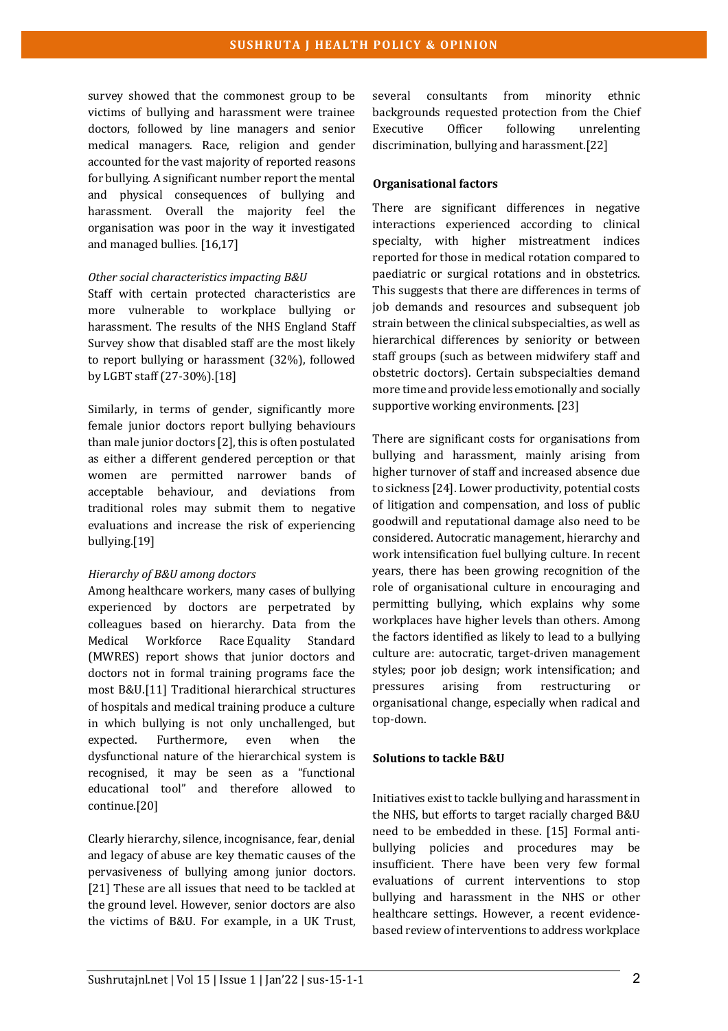survey showed that the commonest group to be victims of bullying and harassment were trainee doctors, followed by line managers and senior medical managers. Race, religion and gender accounted for the vast majority of reported reasons for bullying. A significant number report the mental and physical consequences of bullying and harassment. Overall the majority feel the organisation was poor in the way it investigated and managed bullies. [16,17]

#### *Other social characteristics impacting B&U*

Staff with certain protected characteristics are more vulnerable to workplace bullying or harassment. The results of the NHS England Staff Survey show that disabled staff are the most likely to report bullying or harassment (32%), followed by LGBT staff (27-30%).[18]

Similarly, in terms of gender, significantly more female junior doctors report bullying behaviours than male junior doctors  $[2]$ , this is often postulated as either a different gendered perception or that women are permitted narrower bands of acceptable behaviour, and deviations from traditional roles may submit them to negative evaluations and increase the risk of experiencing bullying.[19]

## *Hierarchy of B&U among doctors*

Among healthcare workers, many cases of bullying experienced by doctors are perpetrated by colleagues based on hierarchy. Data from the Medical Workforce Race Equality Standard (MWRES) report shows that junior doctors and doctors not in formal training programs face the most B&U.[11] Traditional hierarchical structures of hospitals and medical training produce a culture in which bullying is not only unchallenged, but expected. Furthermore, even when the dysfunctional nature of the hierarchical system is recognised, it may be seen as a "functional educational tool" and therefore allowed to continue.[20]

Clearly hierarchy, silence, incognisance, fear, denial and legacy of abuse are key thematic causes of the pervasiveness of bullying among junior doctors. [21] These are all issues that need to be tackled at the ground level. However, senior doctors are also the victims of B&U. For example, in a UK Trust,

several consultants from minority ethnic backgrounds requested protection from the Chief Executive Officer following unrelenting discrimination, bullying and harassment.[22]

## **Organisational factors**

There are significant differences in negative interactions experienced according to clinical specialty, with higher mistreatment indices reported for those in medical rotation compared to paediatric or surgical rotations and in obstetrics. This suggests that there are differences in terms of job demands and resources and subsequent job strain between the clinical subspecialties, as well as hierarchical differences by seniority or between staff groups (such as between midwifery staff and obstetric doctors). Certain subspecialties demand more time and provide less emotionally and socially supportive working environments. [23]

There are significant costs for organisations from bullying and harassment, mainly arising from higher turnover of staff and increased absence due to sickness [24]. Lower productivity, potential costs of litigation and compensation, and loss of public goodwill and reputational damage also need to be considered. Autocratic management, hierarchy and work intensification fuel bullying culture. In recent years, there has been growing recognition of the role of organisational culture in encouraging and permitting bullying, which explains why some workplaces have higher levels than others. Among the factors identified as likely to lead to a bullying culture are: autocratic, target-driven management styles; poor job design; work intensification; and pressures arising from restructuring organisational change, especially when radical and top-down.

## **Solutions to tackle B&U**

Initiatives exist to tackle bullying and harassment in the NHS, but efforts to target racially charged B&U need to be embedded in these. [15] Formal antibullying policies and procedures may be insufficient. There have been very few formal evaluations of current interventions to stop bullying and harassment in the NHS or other healthcare settings. However, a recent evidencebased review of interventions to address workplace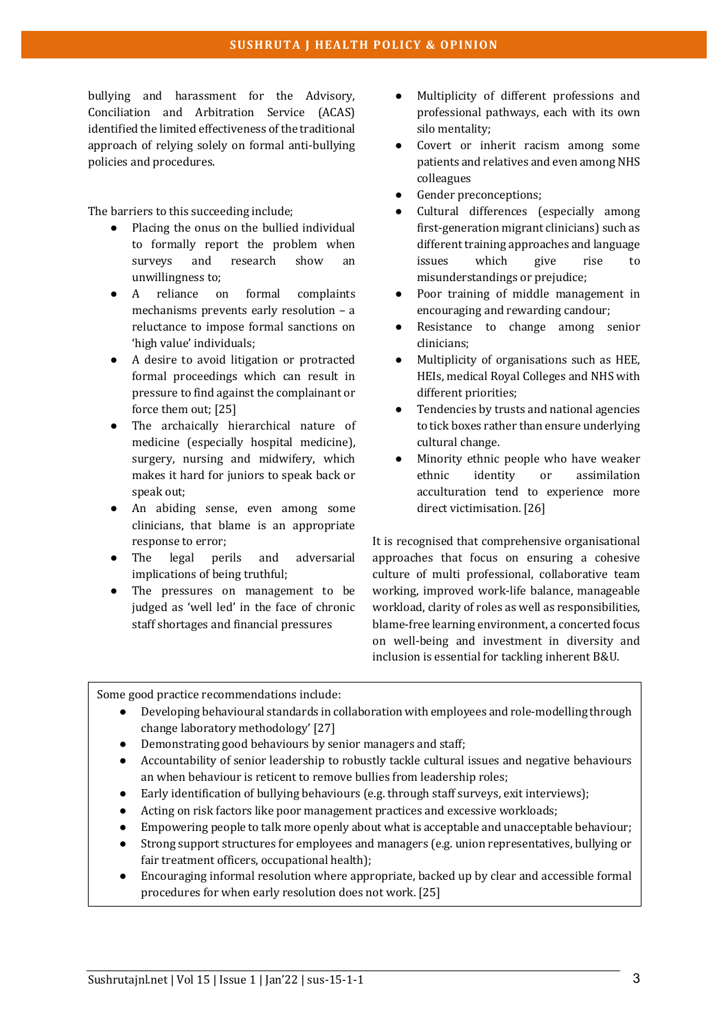bullying and harassment for the Advisory, Conciliation and Arbitration Service (ACAS) identified the limited effectiveness of the traditional approach of relying solely on formal anti-bullying policies and procedures.

The barriers to this succeeding include;

- $\bullet$  Placing the onus on the bullied individual to formally report the problem when surveys and research show an unwillingness to;
- A reliance on formal complaints mechanisms prevents early resolution  $-$  a reluctance to impose formal sanctions on 'high value' individuals:
- A desire to avoid litigation or protracted formal proceedings which can result in pressure to find against the complainant or force them out; [25]
- The archaically hierarchical nature of medicine (especially hospital medicine), surgery, nursing and midwifery, which makes it hard for juniors to speak back or speak out:
- An abiding sense, even among some clinicians, that blame is an appropriate response to error;
- The legal perils and adversarial implications of being truthful:
- The pressures on management to be judged as 'well led' in the face of chronic staff shortages and financial pressures
- Multiplicity of different professions and professional pathways, each with its own silo mentality;
- Covert or inherit racism among some patients and relatives and even among NHS colleagues
- Gender preconceptions;
- Cultural differences (especially among first-generation migrant clinicians) such as different training approaches and language issues which give rise misunderstandings or prejudice;
- Poor training of middle management in encouraging and rewarding candour;
- Resistance to change among senior clinicians;
- Multiplicity of organisations such as HEE, HEIs, medical Royal Colleges and NHS with different priorities;
- Tendencies by trusts and national agencies to tick boxes rather than ensure underlying cultural change.
- Minority ethnic people who have weaker ethnic identity or assimilation acculturation tend to experience more direct victimisation. [26]

It is recognised that comprehensive organisational approaches that focus on ensuring a cohesive culture of multi professional, collaborative team working, improved work-life balance, manageable workload, clarity of roles as well as responsibilities, blame-free learning environment, a concerted focus on well-being and investment in diversity and inclusion is essential for tackling inherent B&U.

Some good practice recommendations include:

- Developing behavioural standards in collaboration with employees and role-modelling through change laboratory methodology' [27]
- Demonstrating good behaviours by senior managers and staff:
- Accountability of senior leadership to robustly tackle cultural issues and negative behaviours an when behaviour is reticent to remove bullies from leadership roles;
- Early identification of bullying behaviours (e.g. through staff surveys, exit interviews);
- Acting on risk factors like poor management practices and excessive workloads;
- Empowering people to talk more openly about what is acceptable and unacceptable behaviour;
- Strong support structures for employees and managers (e.g. union representatives, bullying or fair treatment officers, occupational health);
- Encouraging informal resolution where appropriate, backed up by clear and accessible formal procedures for when early resolution does not work. [25]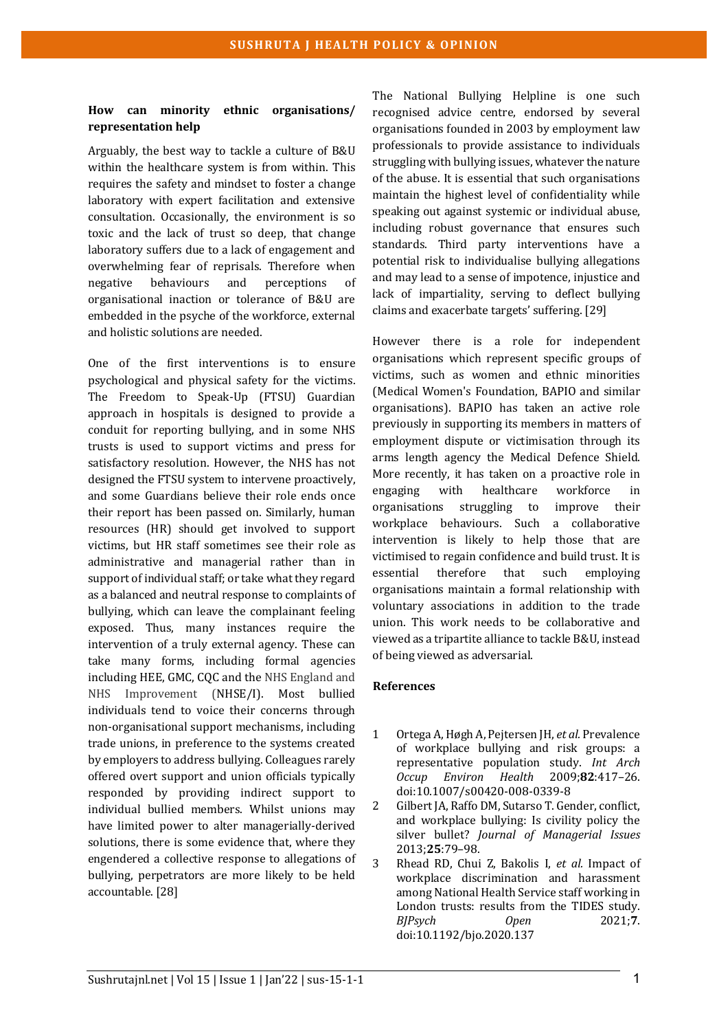### **How can minority ethnic organisations/ representation help**

Arguably, the best way to tackle a culture of B&U within the healthcare system is from within. This requires the safety and mindset to foster a change laboratory with expert facilitation and extensive consultation. Occasionally, the environment is so toxic and the lack of trust so deep, that change laboratory suffers due to a lack of engagement and overwhelming fear of reprisals. Therefore when negative behaviours and perceptions of organisational inaction or tolerance of B&U are embedded in the psyche of the workforce, external and holistic solutions are needed.

One of the first interventions is to ensure psychological and physical safety for the victims. The Freedom to Speak-Up (FTSU) Guardian approach in hospitals is designed to provide a conduit for reporting bullying, and in some NHS trusts is used to support victims and press for satisfactory resolution. However, the NHS has not designed the FTSU system to intervene proactively, and some Guardians believe their role ends once their report has been passed on. Similarly, human resources (HR) should get involved to support victims, but HR staff sometimes see their role as administrative and managerial rather than in support of individual staff; or take what they regard as a balanced and neutral response to complaints of bullying, which can leave the complainant feeling exposed. Thus, many instances require the intervention of a truly external agency. These can take many forms, including formal agencies including HEE, GMC, COC and the NHS England and NHS Improvement (NHSE/I). Most bullied individuals tend to voice their concerns through non-organisational support mechanisms, including trade unions, in preference to the systems created by employers to address bullying. Colleagues rarely offered overt support and union officials typically responded by providing indirect support to individual bullied members. Whilst unions may have limited power to alter managerially-derived solutions, there is some evidence that, where they engendered a collective response to allegations of bullying, perpetrators are more likely to be held accountable. [28]

The National Bullying Helpline is one such recognised advice centre, endorsed by several organisations founded in 2003 by employment law professionals to provide assistance to individuals struggling with bullying issues, whatever the nature of the abuse. It is essential that such organisations maintain the highest level of confidentiality while speaking out against systemic or individual abuse, including robust governance that ensures such standards. Third party interventions have a potential risk to individualise bullying allegations and may lead to a sense of impotence, injustice and lack of impartiality, serving to deflect bullying claims and exacerbate targets' suffering. [29]

However there is a role for independent organisations which represent specific groups of victims, such as women and ethnic minorities (Medical Women's Foundation, BAPIO and similar organisations). BAPIO has taken an active role previously in supporting its members in matters of employment dispute or victimisation through its arms length agency the Medical Defence Shield. More recently, it has taken on a proactive role in engaging with healthcare workforce in organisations struggling to improve their workplace behaviours. Such a collaborative intervention is likely to help those that are victimised to regain confidence and build trust. It is essential therefore that such employing organisations maintain a formal relationship with voluntary associations in addition to the trade union. This work needs to be collaborative and viewed as a tripartite alliance to tackle B&U, instead of being viewed as adversarial.

#### **References**

- 1 Ortega A, Høgh A, Pejtersen JH, *et al.* Prevalence of workplace bullying and risk groups: a representative population study. Int Arch *Occup Environ Health* 2009;**82**:417–26. doi:10.1007/s00420-008-0339-8
- 2 Gilbert JA, Raffo DM, Sutarso T. Gender, conflict, and workplace bullying: Is civility policy the silver bullet? *Journal of Managerial Issues* 2013;**25**:79–98.
- 3 Rhead RD, Chui Z, Bakolis I, et al. Impact of workplace discrimination and harassment among National Health Service staff working in London trusts: results from the TIDES study. *BJPsych Open* 2021;**7**. doi:10.1192/bjo.2020.137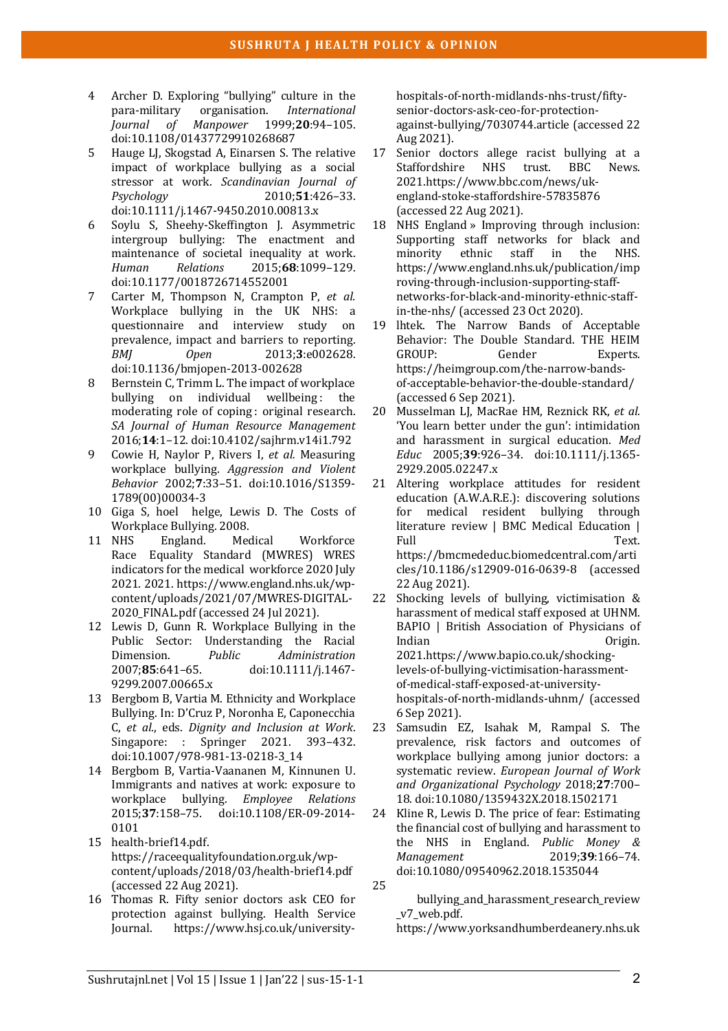- 4 Archer D. Exploring "bullying" culture in the para-military organisation. *International*<br>*Iournal of Manpower* 1999;20:94-105. *Manpower* 1999;20:94-105. doi:10.1108/01437729910268687
- 5 Hauge LJ, Skogstad A, Einarsen S. The relative impact of workplace bullying as a social stressor at work. *Scandinavian Journal of Psychology* 2010;**51**:426–33. doi:10.1111/j.1467-9450.2010.00813.x
- 6 Soylu S, Sheehy-Skeffington J. Asymmetric intergroup bullying: The enactment and maintenance of societal inequality at work. *Human Relations* 2015;**68**:1099–129. doi:10.1177/0018726714552001
- 7 Carter M, Thompson N, Crampton P, et al. Workplace bullying in the UK NHS: a questionnaire and interview study on prevalence, impact and barriers to reporting. *BMJ Open* 2013;**3**:e002628. doi:10.1136/bmjopen-2013-002628
- 8 Bernstein C, Trimm L. The impact of workplace bullying on individual wellbeing: the moderating role of coping : original research. *SA Journal of Human Resource Management* 2016;**14**:1–12. doi:10.4102/sajhrm.v14i1.792
- 9 Cowie H, Naylor P, Rivers I, et al. Measuring workplace bullying. Aggression and Violent *Behavior* 2002;**7**:33–51. doi:10.1016/S1359- 1789(00)00034-3
- 10 Giga S, hoel helge, Lewis D. The Costs of Workplace Bullying. 2008.
- 11 NHS England. Medical Workforce Race Equality Standard (MWRES) WRES indicators for the medical workforce 2020 July 2021. 2021. https://www.england.nhs.uk/wpcontent/uploads/2021/07/MWRES-DIGITAL-2020\_FINAL.pdf (accessed 24 Jul 2021).
- 12 Lewis D, Gunn R. Workplace Bullying in the Public Sector: Understanding the Racial Dimension. *Public Administration* 2007;**85**:641–65. doi:10.1111/j.1467- 9299.2007.00665.x
- 13 Bergbom B, Vartia M. Ethnicity and Workplace Bullying. In: D'Cruz P, Noronha E, Caponecchia C, *et al.*, eds. *Dignity and Inclusion at Work*. Singapore: : Springer 2021. 393-432. doi:10.1007/978-981-13-0218-3\_14
- 14 Bergbom B, Vartia-Vaananen M, Kinnunen U. Immigrants and natives at work: exposure to workplace bullying. *Employee Relations* 2015;**37**:158–75. doi:10.1108/ER-09-2014- 0101
- 15 health-brief14.pdf. https://raceequalityfoundation.org.uk/wpcontent/uploads/2018/03/health-brief14.pdf (accessed 22 Aug 2021).
- 16 Thomas R. Fifty senior doctors ask CEO for protection against bullying. Health Service Journal. https://www.hsj.co.uk/university-

hospitals-of-north-midlands-nhs-trust/fiftysenior-doctors-ask-ceo-for-protectionagainst-bullying/7030744.article (accessed 22 Aug 2021).

- 17 Senior doctors allege racist bullying at a Staffordshire NHS trust. BBC News. 2021.https://www.bbc.com/news/ukengland-stoke-staffordshire-57835876 (accessed 22 Aug 2021).
- 18 NHS England » Improving through inclusion: Supporting staff networks for black and minority ethnic staff in the NHS. https://www.england.nhs.uk/publication/imp roving-through-inclusion-supporting-staffnetworks-for-black-and-minority-ethnic-staffin-the-nhs/ (accessed 23 Oct 2020).
- 19 lhtek. The Narrow Bands of Acceptable Behavior: The Double Standard. THE HEIM GROUP: Gender Experts. https://heimgroup.com/the-narrow-bandsof-acceptable-behavior-the-double-standard/ (accessed 6 Sep 2021).
- 20 Musselman LJ, MacRae HM, Reznick RK, *et al.* 'You learn better under the gun': intimidation and harassment in surgical education. Med *Educ* 2005;**39**:926–34. doi:10.1111/j.1365- 2929.2005.02247.x
- 21 Altering workplace attitudes for resident education (A.W.A.R.E.): discovering solutions for medical resident bullying through literature review  $\vert$  BMC Medical Education  $\vert$ Full Text. https://bmcmededuc.biomedcentral.com/arti cles/10.1186/s12909-016-0639-8 (accessed 22 Aug 2021).
- 22 Shocking levels of bullying, victimisation  $\&$ harassment of medical staff exposed at UHNM. BAPIO | British Association of Physicians of Indian **Origin.** 2021.https://www.bapio.co.uk/shockinglevels-of-bullying-victimisation-harassmentof-medical-staff-exposed-at-universityhospitals-of-north-midlands-uhnm/ (accessed 6 Sep 2021).
- 23 Samsudin EZ, Isahak M, Rampal S. The prevalence, risk factors and outcomes of workplace bullying among junior doctors: a svstematic review. *European Journal of Work and Organizational Psychology* 2018;**27**:700– 18. doi:10.1080/1359432X.2018.1502171
- 24 Kline R, Lewis D. The price of fear: Estimating the financial cost of bullying and harassment to the NHS in England. *Public Money & Management* 2019;**39**:166–74. doi:10.1080/09540962.2018.1535044
- 25

bullying\_and\_harassment\_research\_review \_v7\_web.pdf. 

https://www.yorksandhumberdeanery.nhs.uk